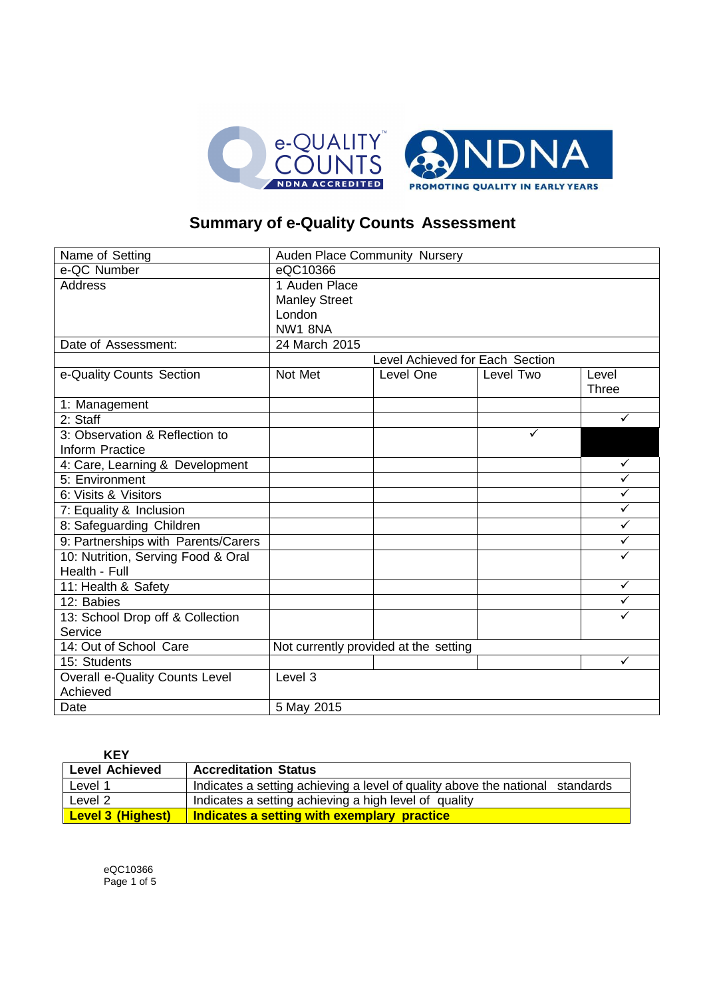

# **Summary of e-Quality Counts Assessment**

| Name of Setting                            | Auden Place Community Nursery         |           |           |                       |
|--------------------------------------------|---------------------------------------|-----------|-----------|-----------------------|
| e-QC Number                                | eQC10366                              |           |           |                       |
| <b>Address</b>                             | 1 Auden Place                         |           |           |                       |
|                                            | <b>Manley Street</b>                  |           |           |                       |
|                                            | London                                |           |           |                       |
|                                            | NW1 8NA                               |           |           |                       |
| Date of Assessment:                        | 24 March 2015                         |           |           |                       |
|                                            | Level Achieved for Each Section       |           |           |                       |
| e-Quality Counts Section                   | Not Met                               | Level One | Level Two | Level<br><b>Three</b> |
| 1: Management                              |                                       |           |           |                       |
| 2: Staff                                   |                                       |           |           | $\checkmark$          |
| 3: Observation & Reflection to             |                                       |           | ✓         |                       |
| Inform Practice                            |                                       |           |           |                       |
| 4: Care, Learning & Development            |                                       |           |           | $\checkmark$          |
| 5: Environment                             |                                       |           |           | ✓                     |
| 6: Visits & Visitors                       |                                       |           |           | $\checkmark$          |
| 7: Equality & Inclusion                    |                                       |           |           | $\checkmark$          |
| 8: Safeguarding Children                   |                                       |           |           | $\checkmark$          |
| 9: Partnerships with Parents/Carers        |                                       |           |           | ✓                     |
| 10: Nutrition, Serving Food & Oral         |                                       |           |           | ✓                     |
| Health - Full                              |                                       |           |           |                       |
| 11: Health & Safety                        |                                       |           |           | $\checkmark$          |
| 12: Babies                                 |                                       |           |           | $\checkmark$          |
| 13: School Drop off & Collection           |                                       |           |           |                       |
| Service                                    |                                       |           |           |                       |
| 14: Out of School Care                     | Not currently provided at the setting |           |           |                       |
| 15: Students                               |                                       |           |           | ✓                     |
| Overall e-Quality Counts Level<br>Achieved | Level 3                               |           |           |                       |
| Date                                       | 5 May 2015                            |           |           |                       |

| <b>KEY</b>               |                                                                               |
|--------------------------|-------------------------------------------------------------------------------|
| <b>Level Achieved</b>    | <b>Accreditation Status</b>                                                   |
| Level 1                  | Indicates a setting achieving a level of quality above the national standards |
| Level 2                  | Indicates a setting achieving a high level of quality                         |
| <b>Level 3 (Highest)</b> | Indicates a setting with exemplary practice                                   |

eQC10366 Page 1 of 5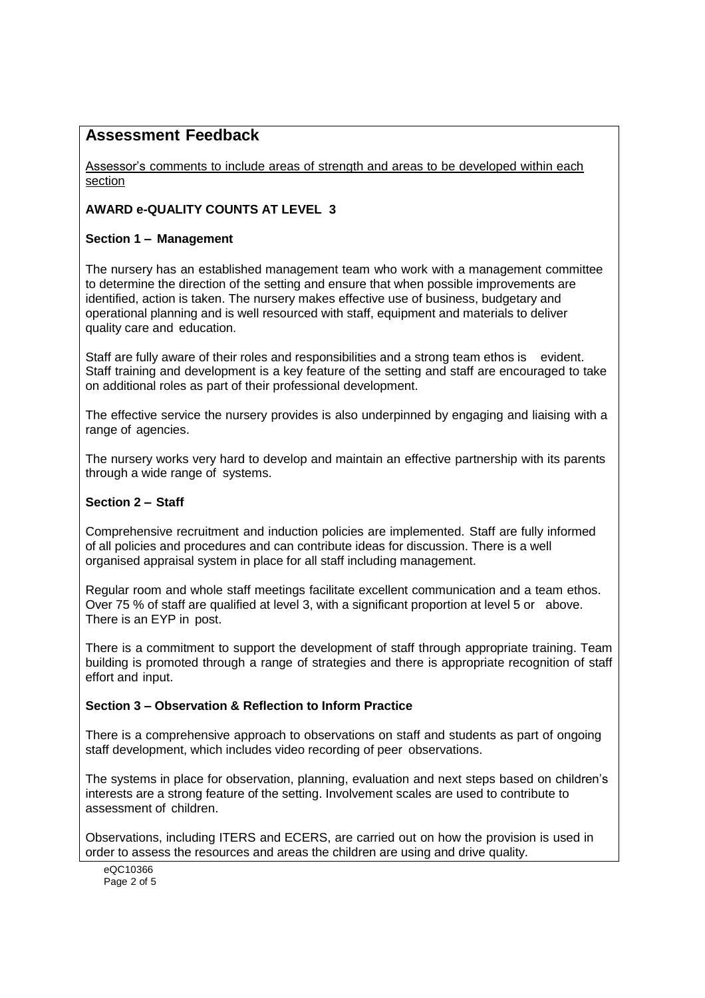# **Assessment Feedback**

Assessor's comments to include areas of strength and areas to be developed within each section

# **AWARD e-QUALITY COUNTS AT LEVEL 3**

# **Section 1 – Management**

The nursery has an established management team who work with a management committee to determine the direction of the setting and ensure that when possible improvements are identified, action is taken. The nursery makes effective use of business, budgetary and operational planning and is well resourced with staff, equipment and materials to deliver quality care and education.

Staff are fully aware of their roles and responsibilities and a strong team ethos is evident. Staff training and development is a key feature of the setting and staff are encouraged to take on additional roles as part of their professional development.

The effective service the nursery provides is also underpinned by engaging and liaising with a range of agencies.

The nursery works very hard to develop and maintain an effective partnership with its parents through a wide range of systems.

# **Section 2 – Staff**

Comprehensive recruitment and induction policies are implemented. Staff are fully informed of all policies and procedures and can contribute ideas for discussion. There is a well organised appraisal system in place for all staff including management.

Regular room and whole staff meetings facilitate excellent communication and a team ethos. Over 75 % of staff are qualified at level 3, with a significant proportion at level 5 or above. There is an EYP in post.

There is a commitment to support the development of staff through appropriate training. Team building is promoted through a range of strategies and there is appropriate recognition of staff effort and input.

### **Section 3 – Observation & Reflection to Inform Practice**

There is a comprehensive approach to observations on staff and students as part of ongoing staff development, which includes video recording of peer observations.

The systems in place for observation, planning, evaluation and next steps based on children's interests are a strong feature of the setting. Involvement scales are used to contribute to assessment of children.

Observations, including ITERS and ECERS, are carried out on how the provision is used in order to assess the resources and areas the children are using and drive quality.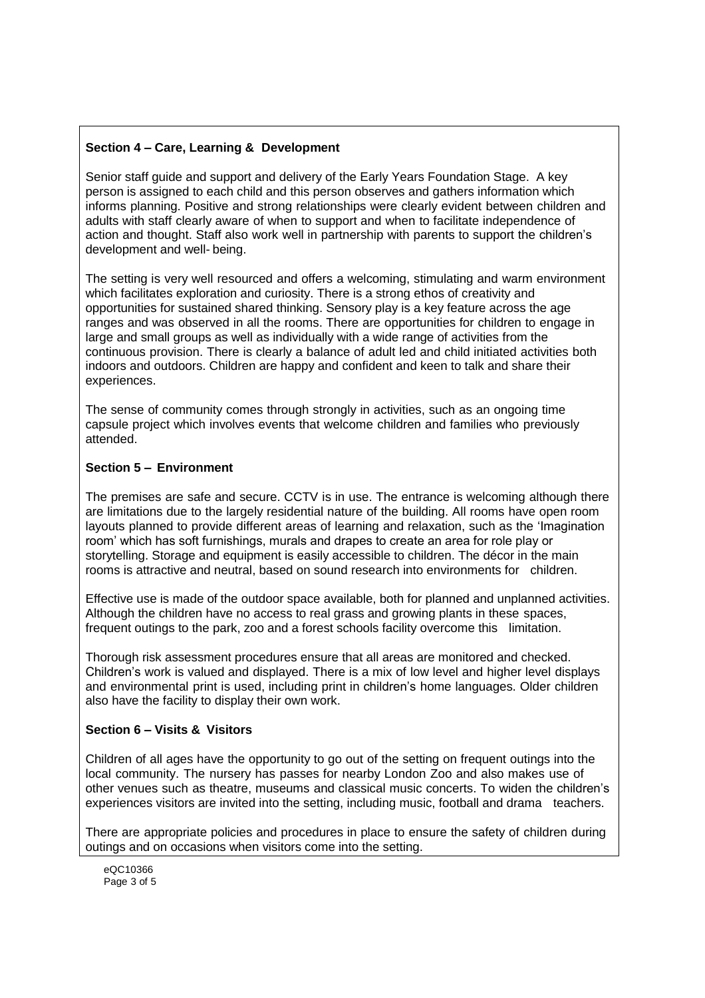# **Section 4 – Care, Learning & Development**

Senior staff guide and support and delivery of the Early Years Foundation Stage. A key person is assigned to each child and this person observes and gathers information which informs planning. Positive and strong relationships were clearly evident between children and adults with staff clearly aware of when to support and when to facilitate independence of action and thought. Staff also work well in partnership with parents to support the children's development and well- being.

The setting is very well resourced and offers a welcoming, stimulating and warm environment which facilitates exploration and curiosity. There is a strong ethos of creativity and opportunities for sustained shared thinking. Sensory play is a key feature across the age ranges and was observed in all the rooms. There are opportunities for children to engage in large and small groups as well as individually with a wide range of activities from the continuous provision. There is clearly a balance of adult led and child initiated activities both indoors and outdoors. Children are happy and confident and keen to talk and share their experiences.

The sense of community comes through strongly in activities, such as an ongoing time capsule project which involves events that welcome children and families who previously attended.

### **Section 5 – Environment**

The premises are safe and secure. CCTV is in use. The entrance is welcoming although there are limitations due to the largely residential nature of the building. All rooms have open room layouts planned to provide different areas of learning and relaxation, such as the 'Imagination room' which has soft furnishings, murals and drapes to create an area for role play or storytelling. Storage and equipment is easily accessible to children. The décor in the main rooms is attractive and neutral, based on sound research into environments for children.

Effective use is made of the outdoor space available, both for planned and unplanned activities. Although the children have no access to real grass and growing plants in these spaces, frequent outings to the park, zoo and a forest schools facility overcome this limitation.

Thorough risk assessment procedures ensure that all areas are monitored and checked. Children's work is valued and displayed. There is a mix of low level and higher level displays and environmental print is used, including print in children's home languages. Older children also have the facility to display their own work.

### **Section 6 – Visits & Visitors**

Children of all ages have the opportunity to go out of the setting on frequent outings into the local community. The nursery has passes for nearby London Zoo and also makes use of other venues such as theatre, museums and classical music concerts. To widen the children's experiences visitors are invited into the setting, including music, football and drama teachers.

There are appropriate policies and procedures in place to ensure the safety of children during outings and on occasions when visitors come into the setting.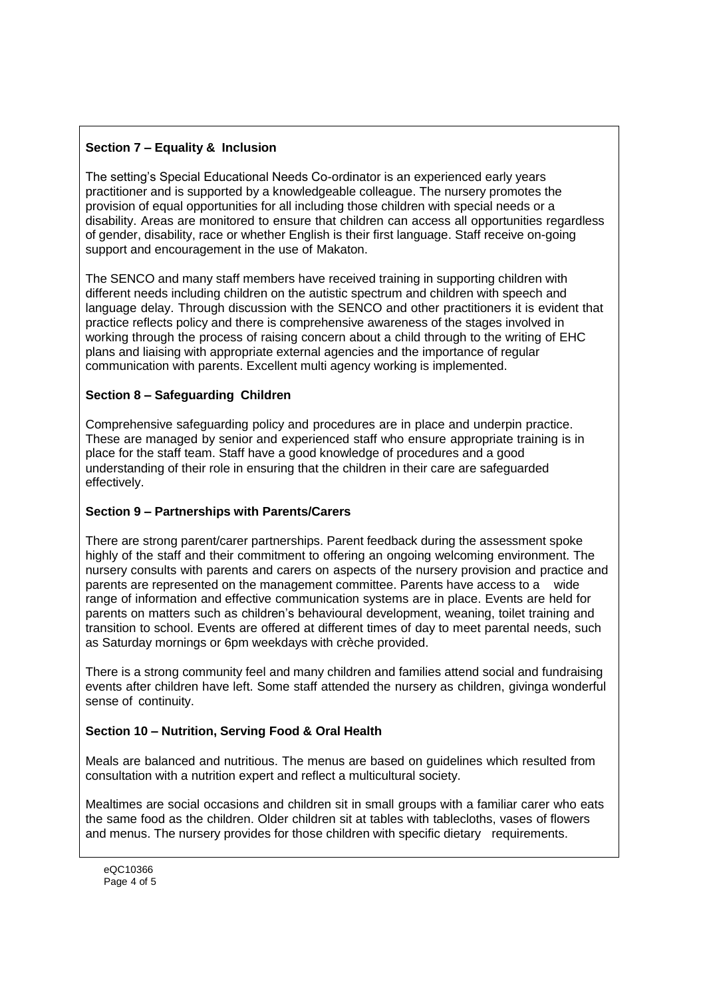# **Section 7 – Equality & Inclusion**

The setting's Special Educational Needs Co-ordinator is an experienced early years practitioner and is supported by a knowledgeable colleague. The nursery promotes the provision of equal opportunities for all including those children with special needs or a disability. Areas are monitored to ensure that children can access all opportunities regardless of gender, disability, race or whether English is their first language. Staff receive on-going support and encouragement in the use of Makaton.

The SENCO and many staff members have received training in supporting children with different needs including children on the autistic spectrum and children with speech and language delay. Through discussion with the SENCO and other practitioners it is evident that practice reflects policy and there is comprehensive awareness of the stages involved in working through the process of raising concern about a child through to the writing of EHC plans and liaising with appropriate external agencies and the importance of regular communication with parents. Excellent multi agency working is implemented.

# **Section 8 – Safeguarding Children**

Comprehensive safeguarding policy and procedures are in place and underpin practice. These are managed by senior and experienced staff who ensure appropriate training is in place for the staff team. Staff have a good knowledge of procedures and a good understanding of their role in ensuring that the children in their care are safeguarded effectively.

# **Section 9 – Partnerships with Parents/Carers**

There are strong parent/carer partnerships. Parent feedback during the assessment spoke highly of the staff and their commitment to offering an ongoing welcoming environment. The nursery consults with parents and carers on aspects of the nursery provision and practice and parents are represented on the management committee. Parents have access to a wide range of information and effective communication systems are in place. Events are held for parents on matters such as children's behavioural development, weaning, toilet training and transition to school. Events are offered at different times of day to meet parental needs, such as Saturday mornings or 6pm weekdays with crèche provided.

There is a strong community feel and many children and families attend social and fundraising events after children have left. Some staff attended the nursery as children, givinga wonderful sense of continuity.

# **Section 10 – Nutrition, Serving Food & Oral Health**

Meals are balanced and nutritious. The menus are based on guidelines which resulted from consultation with a nutrition expert and reflect a multicultural society.

Mealtimes are social occasions and children sit in small groups with a familiar carer who eats the same food as the children. Older children sit at tables with tablecloths, vases of flowers and menus. The nursery provides for those children with specific dietary requirements.